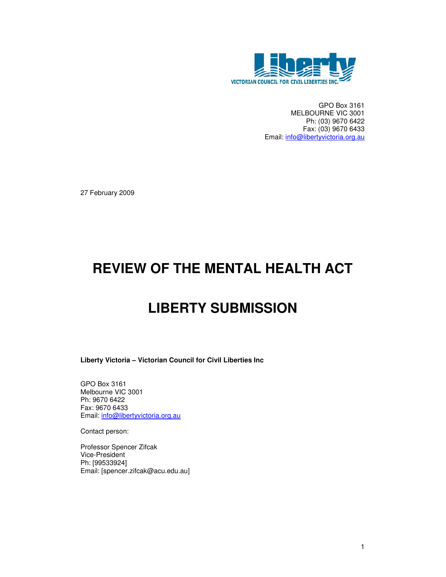

GPO Box 3161 MELBOURNE VIC 3001 Ph: (03) 9670 6422 Fax: (03) 9670 6433 Email: info@libertyvictoria.org.au

27 February 2009

# **REVIEW OF THE MENTAL HEALTH ACT**

# **LIBERTY SUBMISSION**

**Liberty Victoria – Victorian Council for Civil Liberties Inc** 

GPO Box 3161 Melbourne VIC 3001 Ph: 9670 6422 Fax: 9670 6433 Email: info@libertyvictoria.org.au

Contact person:

Professor Spencer Zifcak Vice-President Ph: [99533924] Email: [spencer.zifcak@acu.edu.au]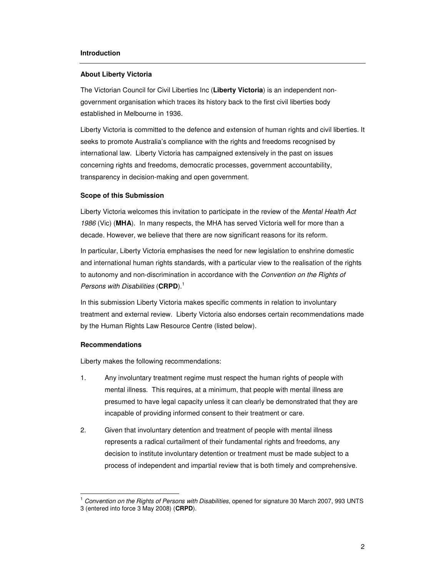#### **Introduction**

#### **About Liberty Victoria**

The Victorian Council for Civil Liberties Inc (**Liberty Victoria**) is an independent nongovernment organisation which traces its history back to the first civil liberties body established in Melbourne in 1936.

Liberty Victoria is committed to the defence and extension of human rights and civil liberties. It seeks to promote Australia's compliance with the rights and freedoms recognised by international law. Liberty Victoria has campaigned extensively in the past on issues concerning rights and freedoms, democratic processes, government accountability, transparency in decision-making and open government.

#### **Scope of this Submission**

Liberty Victoria welcomes this invitation to participate in the review of the Mental Health Act 1986 (Vic) (**MHA**). In many respects, the MHA has served Victoria well for more than a decade. However, we believe that there are now significant reasons for its reform.

In particular, Liberty Victoria emphasises the need for new legislation to enshrine domestic and international human rights standards, with a particular view to the realisation of the rights to autonomy and non-discrimination in accordance with the Convention on the Rights of Persons with Disabilities (CRPD).<sup>1</sup>

In this submission Liberty Victoria makes specific comments in relation to involuntary treatment and external review. Liberty Victoria also endorses certain recommendations made by the Human Rights Law Resource Centre (listed below).

### **Recommendations**

 $\overline{a}$ 

Liberty makes the following recommendations:

- 1. Any involuntary treatment regime must respect the human rights of people with mental illness. This requires, at a minimum, that people with mental illness are presumed to have legal capacity unless it can clearly be demonstrated that they are incapable of providing informed consent to their treatment or care.
- 2. Given that involuntary detention and treatment of people with mental illness represents a radical curtailment of their fundamental rights and freedoms, any decision to institute involuntary detention or treatment must be made subject to a process of independent and impartial review that is both timely and comprehensive.

 $1$  Convention on the Rights of Persons with Disabilities, opened for signature 30 March 2007, 993 UNTS 3 (entered into force 3 May 2008) (**CRPD**).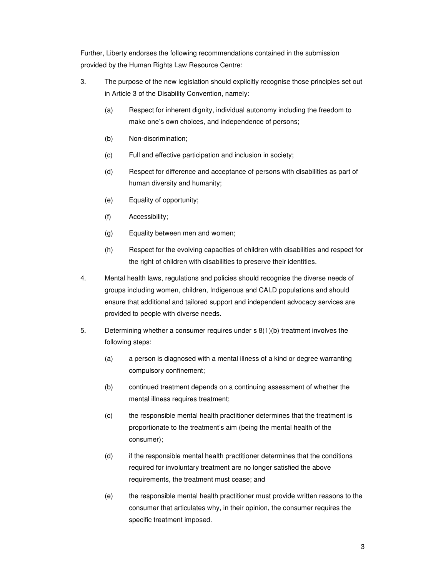Further, Liberty endorses the following recommendations contained in the submission provided by the Human Rights Law Resource Centre:

- 3. The purpose of the new legislation should explicitly recognise those principles set out in Article 3 of the Disability Convention, namely:
	- (a) Respect for inherent dignity, individual autonomy including the freedom to make one's own choices, and independence of persons;
	- (b) Non-discrimination;
	- (c) Full and effective participation and inclusion in society;
	- (d) Respect for difference and acceptance of persons with disabilities as part of human diversity and humanity;
	- (e) Equality of opportunity;
	- (f) Accessibility;
	- (g) Equality between men and women;
	- (h) Respect for the evolving capacities of children with disabilities and respect for the right of children with disabilities to preserve their identities.
- 4. Mental health laws, regulations and policies should recognise the diverse needs of groups including women, children, Indigenous and CALD populations and should ensure that additional and tailored support and independent advocacy services are provided to people with diverse needs.
- 5. Determining whether a consumer requires under s 8(1)(b) treatment involves the following steps:
	- (a) a person is diagnosed with a mental illness of a kind or degree warranting compulsory confinement;
	- (b) continued treatment depends on a continuing assessment of whether the mental illness requires treatment;
	- (c) the responsible mental health practitioner determines that the treatment is proportionate to the treatment's aim (being the mental health of the consumer);
	- (d) if the responsible mental health practitioner determines that the conditions required for involuntary treatment are no longer satisfied the above requirements, the treatment must cease; and
	- (e) the responsible mental health practitioner must provide written reasons to the consumer that articulates why, in their opinion, the consumer requires the specific treatment imposed.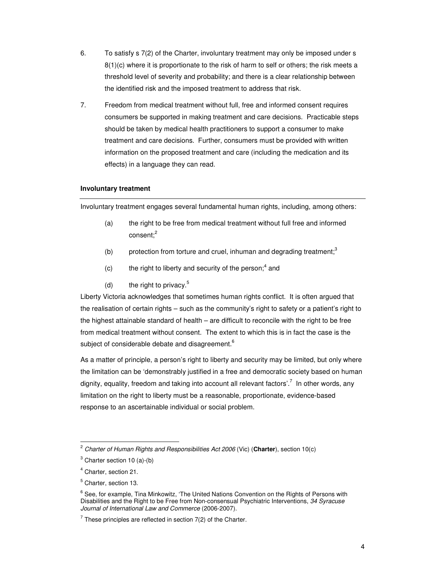- 6. To satisfy s 7(2) of the Charter, involuntary treatment may only be imposed under s 8(1)(c) where it is proportionate to the risk of harm to self or others; the risk meets a threshold level of severity and probability; and there is a clear relationship between the identified risk and the imposed treatment to address that risk.
- 7. Freedom from medical treatment without full, free and informed consent requires consumers be supported in making treatment and care decisions. Practicable steps should be taken by medical health practitioners to support a consumer to make treatment and care decisions. Further, consumers must be provided with written information on the proposed treatment and care (including the medication and its effects) in a language they can read.

## **Involuntary treatment**

Involuntary treatment engages several fundamental human rights, including, among others:

- (a) the right to be free from medical treatment without full free and informed consent; $^2$
- (b) protection from torture and cruel, inhuman and degrading treatment;<sup>3</sup>
- $(c)$  the right to liberty and security of the person;<sup>4</sup> and
- (d) the right to privacy. $5$

Liberty Victoria acknowledges that sometimes human rights conflict. It is often argued that the realisation of certain rights – such as the community's right to safety or a patient's right to the highest attainable standard of health – are difficult to reconcile with the right to be free from medical treatment without consent. The extent to which this is in fact the case is the subject of considerable debate and disagreement.<sup>6</sup>

As a matter of principle, a person's right to liberty and security may be limited, but only where the limitation can be 'demonstrably justified in a free and democratic society based on human dignity, equality, freedom and taking into account all relevant factors'.<sup>7</sup> In other words, any limitation on the right to liberty must be a reasonable, proportionate, evidence-based response to an ascertainable individual or social problem.

 $\overline{a}$ 

<sup>2</sup> Charter of Human Rights and Responsibilities Act 2006 (Vic) (**Charter**), section 10(c)

 $3$  Charter section 10 (a)-(b)

<sup>4</sup> Charter, section 21.

<sup>5</sup> Charter, section 13.

 $^6$  See, for example, Tina Minkowitz, 'The United Nations Convention on the Rights of Persons with Disabilities and the Right to be Free from Non-consensual Psychiatric Interventions, 34 Syracuse Journal of International Law and Commerce (2006-2007).

 $7$  These principles are reflected in section 7(2) of the Charter.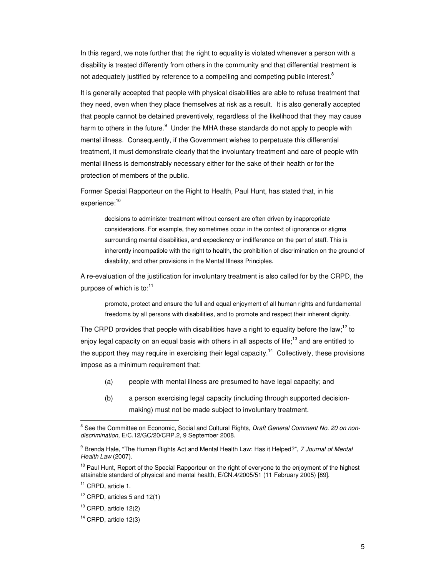In this regard, we note further that the right to equality is violated whenever a person with a disability is treated differently from others in the community and that differential treatment is not adequately justified by reference to a compelling and competing public interest.<sup>8</sup>

It is generally accepted that people with physical disabilities are able to refuse treatment that they need, even when they place themselves at risk as a result. It is also generally accepted that people cannot be detained preventively, regardless of the likelihood that they may cause harm to others in the future.<sup>9</sup> Under the MHA these standards do not apply to people with mental illness. Consequently, if the Government wishes to perpetuate this differential treatment, it must demonstrate clearly that the involuntary treatment and care of people with mental illness is demonstrably necessary either for the sake of their health or for the protection of members of the public.

Former Special Rapporteur on the Right to Health, Paul Hunt, has stated that, in his experience:<sup>10</sup>

decisions to administer treatment without consent are often driven by inappropriate considerations. For example, they sometimes occur in the context of ignorance or stigma surrounding mental disabilities, and expediency or indifference on the part of staff. This is inherently incompatible with the right to health, the prohibition of discrimination on the ground of disability, and other provisions in the Mental Illness Principles.

A re-evaluation of the justification for involuntary treatment is also called for by the CRPD, the purpose of which is to:<sup>11</sup>

promote, protect and ensure the full and equal enjoyment of all human rights and fundamental freedoms by all persons with disabilities, and to promote and respect their inherent dignity.

The CRPD provides that people with disabilities have a right to equality before the law:<sup>12</sup> to enjoy legal capacity on an equal basis with others in all aspects of life;<sup>13</sup> and are entitled to the support they may require in exercising their legal capacity.<sup>14</sup> Collectively, these provisions impose as a minimum requirement that:

- (a) people with mental illness are presumed to have legal capacity; and
- (b) a person exercising legal capacity (including through supported decisionmaking) must not be made subject to involuntary treatment.

 $\overline{a}$ 

<sup>&</sup>lt;sup>8</sup> See the Committee on Economic, Social and Cultural Rights, Draft General Comment No. 20 on nondiscrimination, E/C.12/GC/20/CRP.2, 9 September 2008.

<sup>&</sup>lt;sup>9</sup> Brenda Hale, "The Human Rights Act and Mental Health Law: Has it Helped?", 7 Journal of Mental Health Law (2007).

<sup>&</sup>lt;sup>10</sup> Paul Hunt, Report of the Special Rapporteur on the right of everyone to the enjoyment of the highest attainable standard of physical and mental health, E/CN.4/2005/51 (11 February 2005) [89].

<sup>&</sup>lt;sup>11</sup> CRPD, article 1.

 $12$  CRPD, articles 5 and 12(1)

<sup>13</sup> CRPD, article 12(2)

 $14$  CRPD, article 12(3)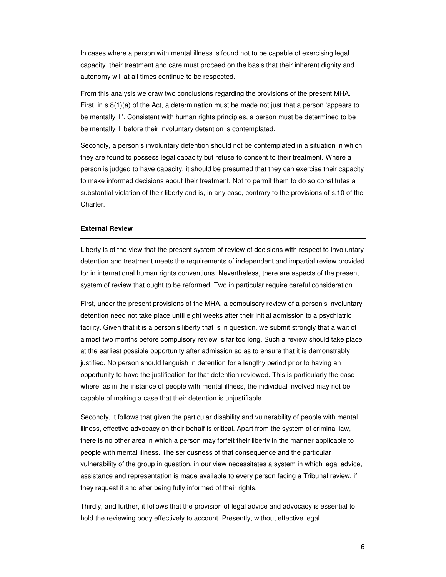In cases where a person with mental illness is found not to be capable of exercising legal capacity, their treatment and care must proceed on the basis that their inherent dignity and autonomy will at all times continue to be respected.

From this analysis we draw two conclusions regarding the provisions of the present MHA. First, in s.8(1)(a) of the Act, a determination must be made not just that a person 'appears to be mentally ill'. Consistent with human rights principles, a person must be determined to be be mentally ill before their involuntary detention is contemplated.

Secondly, a person's involuntary detention should not be contemplated in a situation in which they are found to possess legal capacity but refuse to consent to their treatment. Where a person is judged to have capacity, it should be presumed that they can exercise their capacity to make informed decisions about their treatment. Not to permit them to do so constitutes a substantial violation of their liberty and is, in any case, contrary to the provisions of s.10 of the Charter.

### **External Review**

Liberty is of the view that the present system of review of decisions with respect to involuntary detention and treatment meets the requirements of independent and impartial review provided for in international human rights conventions. Nevertheless, there are aspects of the present system of review that ought to be reformed. Two in particular require careful consideration.

First, under the present provisions of the MHA, a compulsory review of a person's involuntary detention need not take place until eight weeks after their initial admission to a psychiatric facility. Given that it is a person's liberty that is in question, we submit strongly that a wait of almost two months before compulsory review is far too long. Such a review should take place at the earliest possible opportunity after admission so as to ensure that it is demonstrably justified. No person should languish in detention for a lengthy period prior to having an opportunity to have the justification for that detention reviewed. This is particularly the case where, as in the instance of people with mental illness, the individual involved may not be capable of making a case that their detention is unjustifiable.

Secondly, it follows that given the particular disability and vulnerability of people with mental illness, effective advocacy on their behalf is critical. Apart from the system of criminal law, there is no other area in which a person may forfeit their liberty in the manner applicable to people with mental illness. The seriousness of that consequence and the particular vulnerability of the group in question, in our view necessitates a system in which legal advice, assistance and representation is made available to every person facing a Tribunal review, if they request it and after being fully informed of their rights.

Thirdly, and further, it follows that the provision of legal advice and advocacy is essential to hold the reviewing body effectively to account. Presently, without effective legal